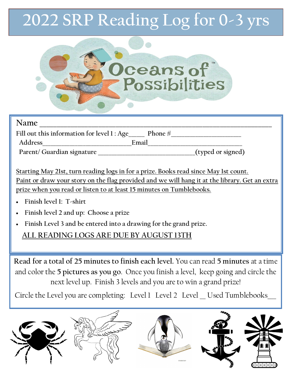## **2022 SRP Reading Log for 0-3 yrs**



| Name                                                     |       |                   |
|----------------------------------------------------------|-------|-------------------|
| Fill out this information for level $1:Age$<br>Phone $#$ |       |                   |
| Address                                                  | Email |                   |
| Parent/ Guardian signature                               |       | (typed or signed) |

**Starting May 21st, turn reading logs in for a prize. Books read since May 1st count. Paint or draw your story on the flag provided and we will hang it at the library. Get an extra prize when you read or listen to at least 15 minutes on Tumblebooks.** 

- **Finish level 1: T-shirt**
- **Finish level 2 and up: Choose a prize**
- **Finish Level 3 and be entered into a drawing for the grand prize.**

## **ALL READING LOGS ARE DUE BY AUGUST 13TH**

**Read for a total of 25 minutes to finish each level.** You can read **5 minutes** at a time and color the **5 pictures as you go**. Once you finish a level, keep going and circle the next level up. Finish 3 levels and you are to win a grand prize!

Circle the Level you are completing: Level 1 Level 2 Level \_ Used Tumblebooks